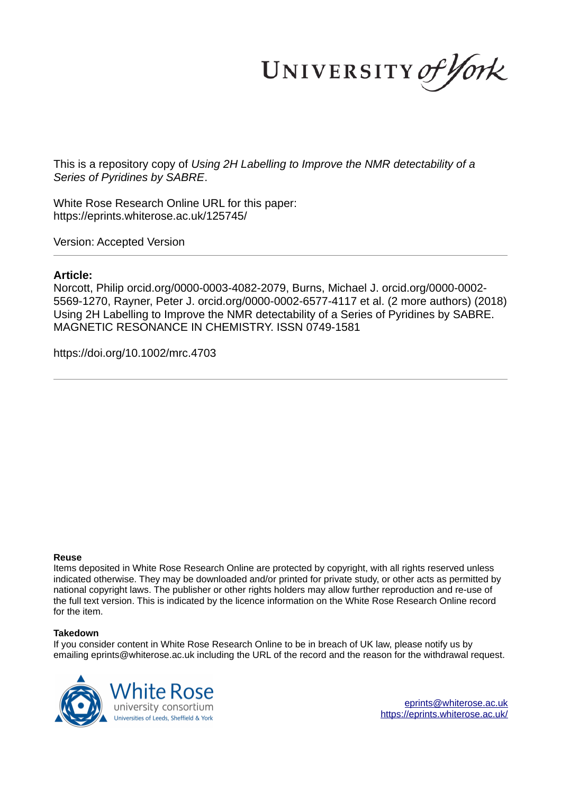UNIVERSITY of York

This is a repository copy of *Using 2H Labelling to Improve the NMR detectability of a Series of Pyridines by SABRE*.

White Rose Research Online URL for this paper: https://eprints.whiterose.ac.uk/125745/

Version: Accepted Version

# **Article:**

Norcott, Philip orcid.org/0000-0003-4082-2079, Burns, Michael J. orcid.org/0000-0002- 5569-1270, Rayner, Peter J. orcid.org/0000-0002-6577-4117 et al. (2 more authors) (2018) Using 2H Labelling to Improve the NMR detectability of a Series of Pyridines by SABRE. MAGNETIC RESONANCE IN CHEMISTRY. ISSN 0749-1581

https://doi.org/10.1002/mrc.4703

#### **Reuse**

Items deposited in White Rose Research Online are protected by copyright, with all rights reserved unless indicated otherwise. They may be downloaded and/or printed for private study, or other acts as permitted by national copyright laws. The publisher or other rights holders may allow further reproduction and re-use of the full text version. This is indicated by the licence information on the White Rose Research Online record for the item.

#### **Takedown**

If you consider content in White Rose Research Online to be in breach of UK law, please notify us by emailing eprints@whiterose.ac.uk including the URL of the record and the reason for the withdrawal request.



eprints@whiterose.ac.uk https://eprints.whiterose.ac.uk/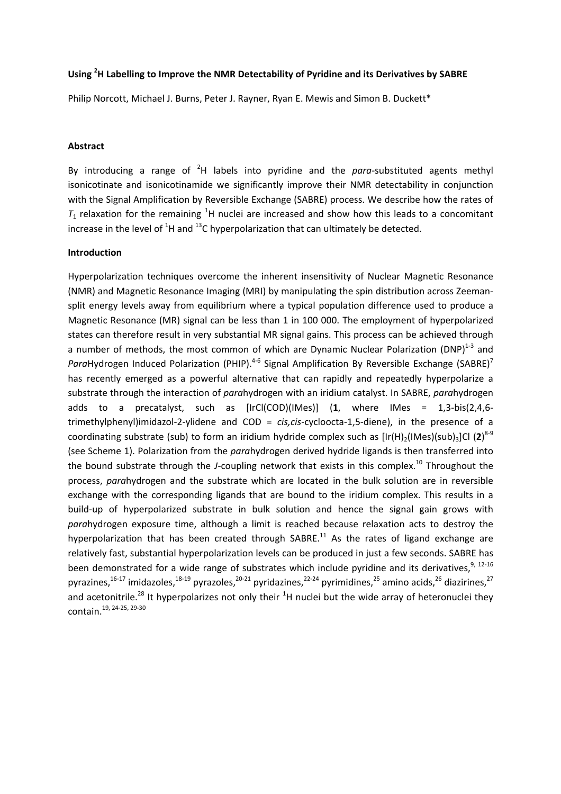# **Using <sup>2</sup>H Labelling to Improve the NMR Detectability of Pyridine and its Derivatives by SABRE**

Philip Norcott, Michael J. Burns, Peter J. Rayner, Ryan E. Mewis and Simon B. Duckett\*

#### **Abstract**

By introducing a range of <sup>2</sup>H labels into pyridine and the *para*-substituted agents methyl isonicotinate and isonicotinamide we significantly improve their NMR detectability in conjunction with the Signal Amplification by Reversible Exchange (SABRE) process. We describe how the rates of  $T_1$  relaxation for the remaining <sup>1</sup>H nuclei are increased and show how this leads to a concomitant increase in the level of  ${}^{1}$ H and  ${}^{13}$ C hyperpolarization that can ultimately be detected.

## **Introduction**

Hyperpolarization techniques overcome the inherent insensitivity of Nuclear Magnetic Resonance (NMR) and Magnetic Resonance Imaging (MRI) by manipulating the spin distribution across Zeemansplit energy levels away from equilibrium where a typical population difference used to produce a Magnetic Resonance (MR) signal can be less than 1 in 100 000. The employment of hyperpolarized states can therefore result in very substantial MR signal gains. This process can be achieved through a number of methods, the most common of which are Dynamic Nuclear Polarization (DNP) $^{1-3}$  and ParaHydrogen Induced Polarization (PHIP).<sup>4-6</sup> Signal Amplification By Reversible Exchange (SABRE)<sup>7</sup> has recently emerged as a powerful alternative that can rapidly and repeatedly hyperpolarize a substrate through the interaction of *para*hydrogen with an iridium catalyst. In SABRE, *para*hydrogen adds to a precatalyst, such as [IrCl(COD)(IMes)] (**1**, where IMes = 1,3-bis(2,4,6 trimethylphenyl)imidazol-2-ylidene and COD = *cis,cis*-cycloocta-1,5-diene), in the presence of a coordinating substrate (sub) to form an iridium hydride complex such as [Ir(H)<sub>2</sub>(IMes)(sub)<sub>3</sub>]Cl (2)<sup>8-9</sup> (see Scheme 1). Polarization from the *para*hydrogen derived hydride ligands is then transferred into the bound substrate through the *J*-coupling network that exists in this complex.<sup>10</sup> Throughout the process, *para*hydrogen and the substrate which are located in the bulk solution are in reversible exchange with the corresponding ligands that are bound to the iridium complex. This results in a build-up of hyperpolarized substrate in bulk solution and hence the signal gain grows with *para*hydrogen exposure time, although a limit is reached because relaxation acts to destroy the hyperpolarization that has been created through SABRE.<sup>11</sup> As the rates of ligand exchange are relatively fast, substantial hyperpolarization levels can be produced in just a few seconds. SABRE has been demonstrated for a wide range of substrates which include pyridine and its derivatives,  $9,12-16$ pyrazines, $16-17$  imidazoles, $18-19$  pyrazoles, $20-21$  pyridazines, $22-24$  pyrimidines, $25$  amino acids, $26$  diazirines, $27$ and acetonitrile.<sup>28</sup> It hyperpolarizes not only their  ${}^{1}$ H nuclei but the wide array of heteronuclei they contain.19, 24-25, 29-30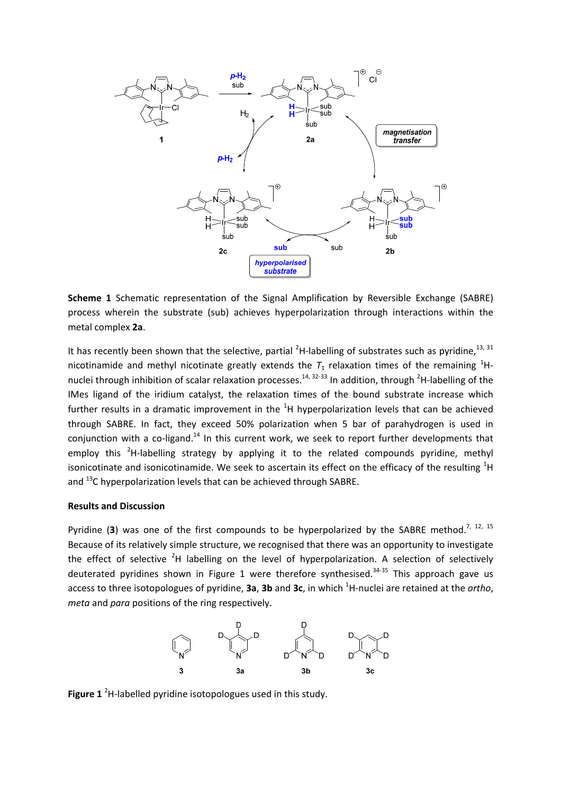

**Scheme 1** Schematic representation of the Signal Amplification by Reversible Exchange (SABRE) process wherein the substrate (sub) achieves hyperpolarization through interactions within the metal complex **2a**.

It has recently been shown that the selective, partial <sup>2</sup>H-labelling of substrates such as pyridine,  $13, 31$ nicotinamide and methyl nicotinate greatly extends the  $T_1$  relaxation times of the remaining <sup>1</sup>Hnuclei through inhibition of scalar relaxation processes.<sup>14, 32-33</sup> In addition, through <sup>2</sup>H-labelling of the IMes ligand of the iridium catalyst, the relaxation times of the bound substrate increase which further results in a dramatic improvement in the  ${}^{1}H$  hyperpolarization levels that can be achieved through SABRE. In fact, they exceed 50% polarization when 5 bar of parahydrogen is used in conjunction with a co-ligand.<sup>14</sup> In this current work, we seek to report further developments that employ this <sup>2</sup>H-labelling strategy by applying it to the related compounds pyridine, methyl isonicotinate and isonicotinamide. We seek to ascertain its effect on the efficacy of the resulting  ${}^{1}$ H and  $^{13}$ C hyperpolarization levels that can be achieved through SABRE.

#### **Results and Discussion**

Pyridine (3) was one of the first compounds to be hyperpolarized by the SABRE method.<sup>7, 12, 15</sup> Because of its relatively simple structure, we recognised that there was an opportunity to investigate the effect of selective  $2H$  labelling on the level of hyperpolarization. A selection of selectively deuterated pyridines shown in Figure 1 were therefore synthesised.<sup>34-35</sup> This approach gave us access to three isotopologues of pyridine, **3a**, **3b** and **3c**, in which <sup>1</sup>H-nuclei are retained at the *ortho*, *meta* and *para* positions of the ring respectively.



**Figure 1** <sup>2</sup>H-labelled pyridine isotopologues used in this study.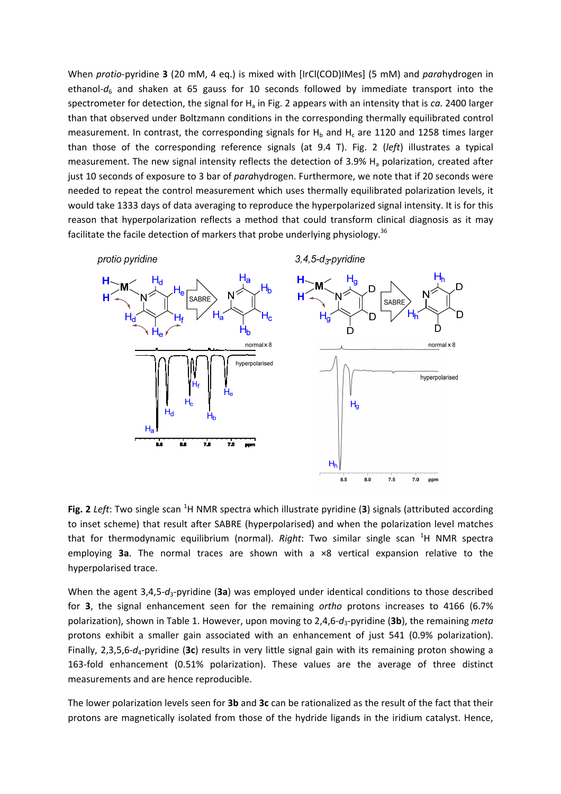When *protio*-pyridine **3** (20 mM, 4 eq.) is mixed with [IrCl(COD)IMes] (5 mM) and *para*hydrogen in ethanol- $d_6$  and shaken at 65 gauss for 10 seconds followed by immediate transport into the spectrometer for detection, the signal for H<sub>a</sub> in Fig. 2 appears with an intensity that is *ca.* 2400 larger than that observed under Boltzmann conditions in the corresponding thermally equilibrated control measurement. In contrast, the corresponding signals for  $H_b$  and  $H_c$  are 1120 and 1258 times larger than those of the corresponding reference signals (at 9.4 T). Fig. 2 (*left*) illustrates a typical measurement. The new signal intensity reflects the detection of 3.9%  $H<sub>a</sub>$  polarization, created after just 10 seconds of exposure to 3 bar of *para*hydrogen. Furthermore, we note that if 20 seconds were needed to repeat the control measurement which uses thermally equilibrated polarization levels, it would take 1333 days of data averaging to reproduce the hyperpolarized signal intensity. It is for this reason that hyperpolarization reflects a method that could transform clinical diagnosis as it may facilitate the facile detection of markers that probe underlying physiology.<sup>36</sup>



**Fig. 2** *Left*: Two single scan <sup>1</sup>H NMR spectra which illustrate pyridine (3) signals (attributed according to inset scheme) that result after SABRE (hyperpolarised) and when the polarization level matches that for thermodynamic equilibrium (normal). *Right*: Two similar single scan <sup>1</sup>H NMR spectra employing **3a**. The normal traces are shown with a ×8 vertical expansion relative to the hyperpolarised trace.

When the agent 3,4,5- $d_3$ -pyridine (3a) was employed under identical conditions to those described for **3**, the signal enhancement seen for the remaining *ortho* protons increases to 4166 (6.7% polarization), shown in Table 1. However, upon moving to 2,4,6-*d*3-pyridine (**3b**), the remaining *meta* protons exhibit a smaller gain associated with an enhancement of just 541 (0.9% polarization). Finally, 2,3,5,6-*d*4-pyridine (**3c**) results in very little signal gain with its remaining proton showing a 163-fold enhancement (0.51% polarization). These values are the average of three distinct measurements and are hence reproducible.

The lower polarization levels seen for **3b** and **3c** can be rationalized as the result of the fact that their protons are magnetically isolated from those of the hydride ligands in the iridium catalyst. Hence,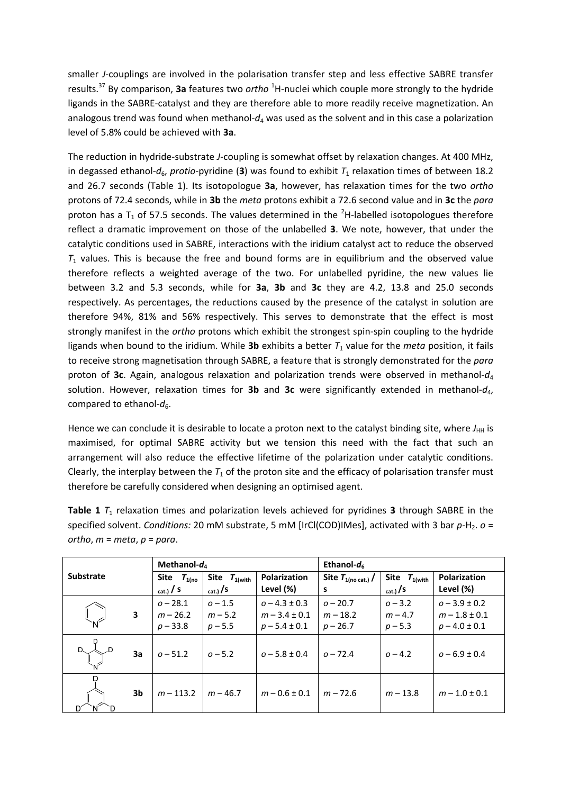smaller *J*-couplings are involved in the polarisation transfer step and less effective SABRE transfer results.<sup>37</sup> By comparison, **3a** features two *ortho* <sup>1</sup>H-nuclei which couple more strongly to the hydride ligands in the SABRE-catalyst and they are therefore able to more readily receive magnetization. An analogous trend was found when methanol-*d*<sup>4</sup> was used as the solvent and in this case a polarization level of 5.8% could be achieved with **3a**.

The reduction in hydride-substrate *J*-coupling is somewhat offset by relaxation changes. At 400 MHz, in degassed ethanol- $d_6$ , *protio*-pyridine (3) was found to exhibit  $T_1$  relaxation times of between 18.2 and 26.7 seconds (Table 1). Its isotopologue **3a**, however, has relaxation times for the two *ortho* protons of 72.4 seconds, while in **3b** the *meta* protons exhibit a 72.6 second value and in **3c** the *para* proton has a  $T_1$  of 57.5 seconds. The values determined in the <sup>2</sup>H-labelled isotopologues therefore reflect a dramatic improvement on those of the unlabelled **3**. We note, however, that under the catalytic conditions used in SABRE, interactions with the iridium catalyst act to reduce the observed  $T_1$  values. This is because the free and bound forms are in equilibrium and the observed value therefore reflects a weighted average of the two. For unlabelled pyridine, the new values lie between 3.2 and 5.3 seconds, while for **3a**, **3b** and **3c** they are 4.2, 13.8 and 25.0 seconds respectively. As percentages, the reductions caused by the presence of the catalyst in solution are therefore 94%, 81% and 56% respectively. This serves to demonstrate that the effect is most strongly manifest in the *ortho* protons which exhibit the strongest spin-spin coupling to the hydride ligands when bound to the iridium. While **3b** exhibits a better  $T_1$  value for the *meta* position, it fails to receive strong magnetisation through SABRE, a feature that is strongly demonstrated for the *para* proton of **3c**. Again, analogous relaxation and polarization trends were observed in methanol-*d*<sup>4</sup> solution. However, relaxation times for **3b** and **3c** were significantly extended in methanol- $d_4$ , compared to ethanol- $d_6$ .

Hence we can conclude it is desirable to locate a proton next to the catalyst binding site, where  $J_{\text{HH}}$  is maximised, for optimal SABRE activity but we tension this need with the fact that such an arrangement will also reduce the effective lifetime of the polarization under catalytic conditions. Clearly, the interplay between the  $T_1$  of the proton site and the efficacy of polarisation transfer must therefore be carefully considered when designing an optimised agent.

| <b>Table 1</b> $T_1$ relaxation times and polarization levels achieved for pyridines <b>3</b> through SABRE in the     |
|------------------------------------------------------------------------------------------------------------------------|
| specified solvent. Conditions: 20 mM substrate, 5 mM [IrCl(COD)IMes], activated with 3 bar $p$ -H <sub>2</sub> . $o$ = |
| ortho, $m = meta$ , $p = para$ .                                                                                       |

| <b>Substrate</b> |    | Methanol- $d_4$                          |                                                |                                                             | Ethanol- $d_6$                         |                                                 |                                                             |
|------------------|----|------------------------------------------|------------------------------------------------|-------------------------------------------------------------|----------------------------------------|-------------------------------------------------|-------------------------------------------------------------|
|                  |    | Site $T_{1(no)}$<br>$_{\text{cat.}}$ / S | Site $T_{1(\text{with})}$<br>$_{\rm cat.)}$ /S | <b>Polarization</b><br>Level (%)                            | Site $T_{1(no cat.)}/$<br>s            | Site $T_{1(\text{with})}$<br>$_{\rm cat.)}$ / S | <b>Polarization</b><br>Level (%)                            |
|                  | 3  | $0 - 28.1$<br>$m - 26.2$<br>$p - 33.8$   | $0 - 1.5$<br>$m - 5.2$<br>$p - 5.5$            | $0 - 4.3 \pm 0.3$<br>$m - 3.4 \pm 0.1$<br>$p - 5.4 \pm 0.1$ | $0 - 20.7$<br>$m - 18.2$<br>$p - 26.7$ | $0 - 3.2$<br>$m - 4.7$<br>$p - 5.3$             | $0 - 3.9 \pm 0.2$<br>$m - 1.8 \pm 0.1$<br>$p - 4.0 \pm 0.1$ |
|                  | 3a | $0 - 51.2$                               | $0 - 5.2$                                      | $0 - 5.8 \pm 0.4$                                           | $0 - 72.4$                             | $0 - 4.2$                                       | $0 - 6.9 \pm 0.4$                                           |
| D<br>D           | 3b | $m - 113.2$                              | $m - 46.7$                                     | $m - 0.6 \pm 0.1$                                           | $m - 72.6$                             | $m - 13.8$                                      | $m - 1.0 \pm 0.1$                                           |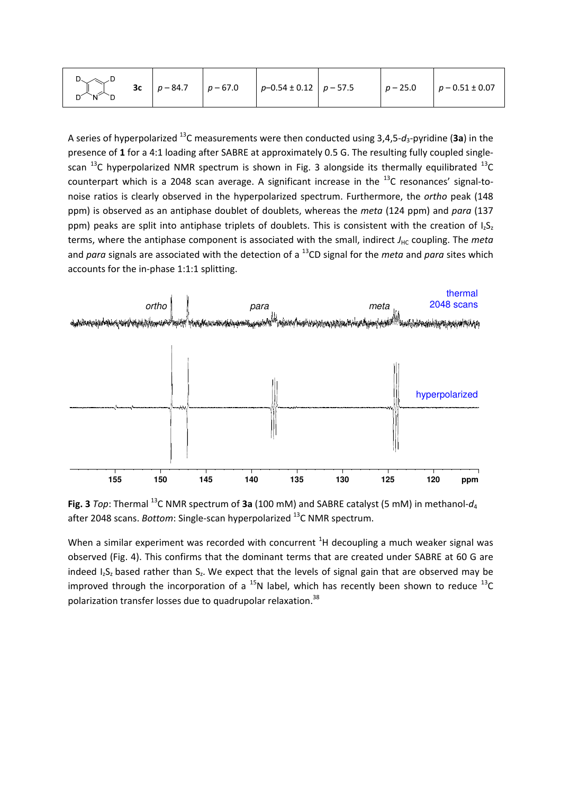| $D_{\diagdown\diagup}D$<br>ื่อ้ั้∖∕ี | <b>3c</b> $p - 84.7$ $p - 67.0$ |  | $p-0.54 \pm 0.12$ $p-57.5$ |  |  | $p - 25.0$ $p - 0.51 \pm 0.07$ |
|--------------------------------------|---------------------------------|--|----------------------------|--|--|--------------------------------|
|--------------------------------------|---------------------------------|--|----------------------------|--|--|--------------------------------|

A series of hyperpolarized <sup>13</sup>C measurements were then conducted using 3,4,5-*d*3-pyridine (**3a**) in the presence of **1** for a 4:1 loading after SABRE at approximately 0.5 G. The resulting fully coupled singlescan  $^{13}$ C hyperpolarized NMR spectrum is shown in Fig. 3 alongside its thermally equilibrated  $^{13}$ C counterpart which is a 2048 scan average. A significant increase in the  $^{13}$ C resonances' signal-tonoise ratios is clearly observed in the hyperpolarized spectrum. Furthermore, the *ortho* peak (148 ppm) is observed as an antiphase doublet of doublets, whereas the *meta* (124 ppm) and *para* (137 ppm) peaks are split into antiphase triplets of doublets. This is consistent with the creation of  $I_2S_2$ terms, where the antiphase component is associated with the small, indirect *J*<sub>HC</sub> coupling. The *meta* and *para* signals are associated with the detection of a <sup>13</sup>CD signal for the *meta* and *para* sites which accounts for the in-phase 1:1:1 splitting.





When a similar experiment was recorded with concurrent  ${}^{1}H$  decoupling a much weaker signal was observed (Fig. 4). This confirms that the dominant terms that are created under SABRE at 60 G are indeed  $I_zS_z$  based rather than  $S_z$ . We expect that the levels of signal gain that are observed may be improved through the incorporation of a  $^{15}N$  label, which has recently been shown to reduce  $^{13}C$ polarization transfer losses due to quadrupolar relaxation.<sup>38</sup>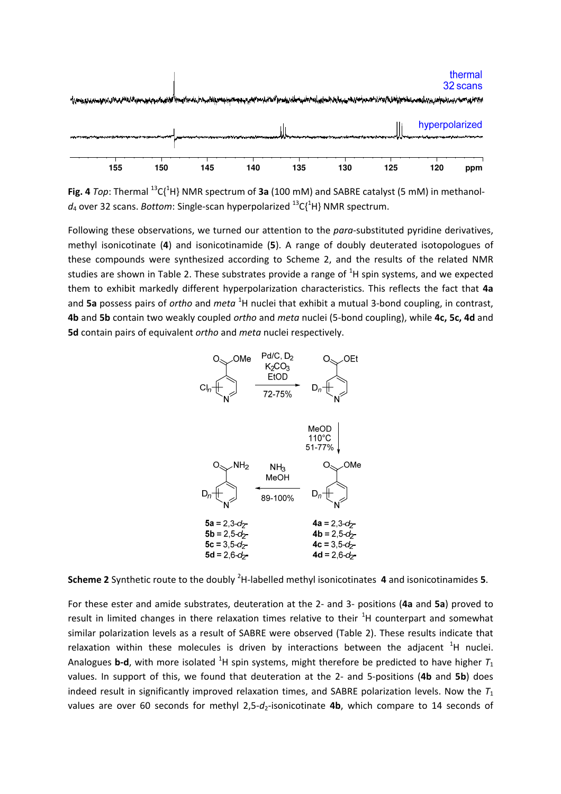

**Fig. 4** *Top*: Thermal <sup>13</sup>C{<sup>1</sup>H} NMR spectrum of **3a** (100 mM) and SABRE catalyst (5 mM) in methanol $d_4$  over 32 scans. *Bottom*: Single-scan hyperpolarized  $^{13}C_1^{1}H$  NMR spectrum.

Following these observations, we turned our attention to the *para-*substituted pyridine derivatives, methyl isonicotinate (**4**) and isonicotinamide (**5**). A range of doubly deuterated isotopologues of these compounds were synthesized according to Scheme 2, and the results of the related NMR studies are shown in Table 2. These substrates provide a range of  ${}^{1}H$  spin systems, and we expected them to exhibit markedly different hyperpolarization characteristics. This reflects the fact that **4a** and 5a possess pairs of *ortho* and *meta*<sup>1</sup>H nuclei that exhibit a mutual 3-bond coupling, in contrast, **4b** and **5b** contain two weakly coupled *ortho* and *meta* nuclei (5-bond coupling), while **4c, 5c, 4d** and **5d** contain pairs of equivalent *ortho* and *meta* nuclei respectively.



**Scheme 2** Synthetic route to the doubly <sup>2</sup>H-labelled methyl isonicotinates **4** and isonicotinamides **5**.

For these ester and amide substrates, deuteration at the 2- and 3- positions (**4a** and **5a**) proved to result in limited changes in there relaxation times relative to their  ${}^{1}$ H counterpart and somewhat similar polarization levels as a result of SABRE were observed (Table 2). These results indicate that relaxation within these molecules is driven by interactions between the adjacent  ${}^{1}H$  nuclei. Analogues **b-d**, with more isolated <sup>1</sup>H spin systems, might therefore be predicted to have higher  $T_1$ values. In support of this, we found that deuteration at the 2- and 5-positions (**4b** and **5b**) does indeed result in significantly improved relaxation times, and SABRE polarization levels. Now the  $T_1$ values are over 60 seconds for methyl 2,5-d<sub>2</sub>-isonicotinate 4b, which compare to 14 seconds of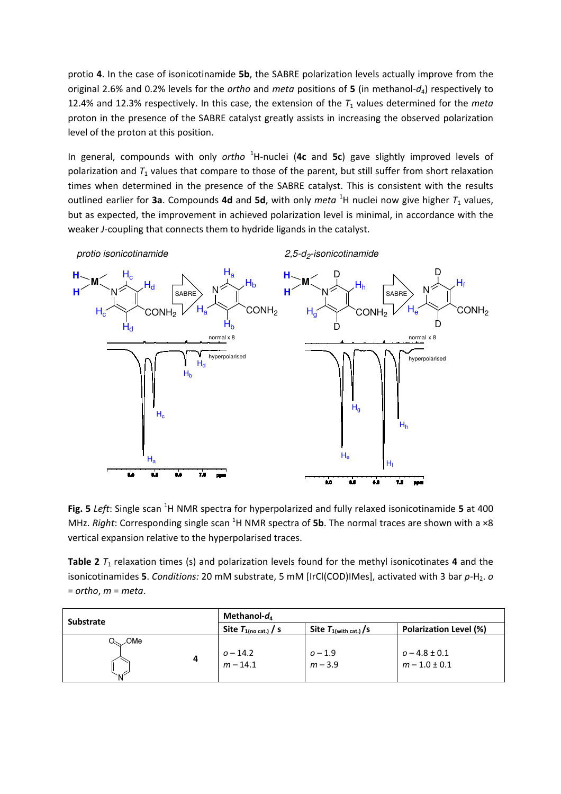protio **4**. In the case of isonicotinamide **5b**, the SABRE polarization levels actually improve from the original 2.6% and 0.2% levels for the *ortho* and *meta* positions of **5** (in methanol-*d*4) respectively to 12.4% and 12.3% respectively. In this case, the extension of the  $T_1$  values determined for the *meta* proton in the presence of the SABRE catalyst greatly assists in increasing the observed polarization level of the proton at this position.

In general, compounds with only *ortho* <sup>1</sup>H-nuclei (**4c** and **5c**) gave slightly improved levels of polarization and  $T_1$  values that compare to those of the parent, but still suffer from short relaxation times when determined in the presence of the SABRE catalyst. This is consistent with the results outlined earlier for 3a. Compounds 4d and 5d, with only *meta* <sup>1</sup>H nuclei now give higher  $T_1$  values, but as expected, the improvement in achieved polarization level is minimal, in accordance with the weaker *J*-coupling that connects them to hydride ligands in the catalyst.

*protio isonicotinamide 2,5-d<sup>2</sup>*

*-isonicotinamide*



**Fig. 5** *Left*: Single scan <sup>1</sup>H NMR spectra for hyperpolarized and fully relaxed isonicotinamide 5 at 400 MHz. *Right*: Corresponding single scan <sup>1</sup>H NMR spectra of **5b**. The normal traces are shown with a ×8 vertical expansion relative to the hyperpolarised traces.

**Table 2**  $T_1$  relaxation times (s) and polarization levels found for the methyl isonicotinates **4** and the isonicotinamides 5. *Conditions:* 20 mM substrate, 5 mM [IrCl(COD)IMes], activated with 3 bar  $p$ -H<sub>2</sub>. *o* = *ortho*, *m* = *meta*.

| <b>Substrate</b>                                 | Methanol-d <sub>a</sub>         |                                  |                                        |  |
|--------------------------------------------------|---------------------------------|----------------------------------|----------------------------------------|--|
|                                                  | Site $T_{1(no \text{ cat.})}/s$ | Site $T_{1(\text{with cat.})}/s$ | <b>Polarization Level (%)</b>          |  |
| $O_{\scriptscriptstyle\diagdown\smile}$ OMe<br>4 | $o - 14.2$<br>$m - 14.1$        | $0 - 1.9$<br>$m - 3.9$           | $0 - 4.8 \pm 0.1$<br>$m - 1.0 \pm 0.1$ |  |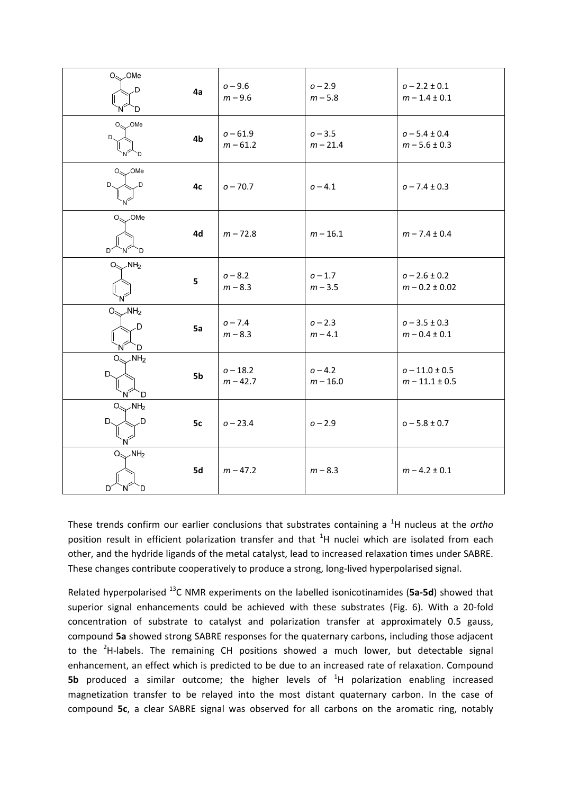| $O_{\!\!\!\!\!\sim\!\!>}$ OMe    |    |                        |                        |                                        |
|----------------------------------|----|------------------------|------------------------|----------------------------------------|
| D                                | 4a | $0 - 9.6$<br>$m - 9.6$ | $0 - 2.9$<br>$m - 5.8$ | $o - 2.2 \pm 0.1$<br>$m - 1.4 \pm 0.1$ |
| D.                               |    |                        |                        |                                        |
| $O_{\text{max}}$ OMe             |    | $0 - 61.9$             | $o - 3.5$              | $o - 5.4 \pm 0.4$                      |
| D.                               | 4b | $m - 61.2$             | $m - 21.4$             | $m - 5.6 \pm 0.3$                      |
| D.                               |    |                        |                        |                                        |
| $O_{\!\!\!\!\!\sim\!\!>}$ OMe    |    |                        |                        |                                        |
| D.<br>.D                         | 4с | $o - 70.7$             | $0 - 4.1$              | $0 - 7.4 \pm 0.3$                      |
| $O_{\infty}$ OMe                 |    |                        |                        |                                        |
| $D^2$<br>`D                      | 4d | $m - 72.8$             | $m - 16.1$             | $m - 7.4 \pm 0.4$                      |
| $O_{\text{max}}$ NH <sub>2</sub> |    |                        |                        |                                        |
|                                  | 5  | $0 - 8.2$              | $0 - 1.7$              | $o - 2.6 \pm 0.2$                      |
|                                  |    | $m - 8.3$              | $m - 3.5$              | $m - 0.2 \pm 0.02$                     |
| $O_{\text{max}}$ NH <sub>2</sub> |    |                        |                        |                                        |
| D                                | 5a | $0 - 7.4$<br>$m - 8.3$ | $0 - 2.3$<br>$m - 4.1$ | $0 - 3.5 \pm 0.3$<br>$m - 0.4 \pm 0.1$ |
| D                                |    |                        |                        |                                        |
| NH <sub>2</sub><br>O.            |    | $o - 18.2$             | $0 - 4.2$              | $o - 11.0 \pm 0.5$                     |
| D.                               | 5b | $m - 42.7$             | $m - 16.0$             | $m - 11.1 \pm 0.5$                     |
| D                                |    |                        |                        |                                        |
| $\angle$ NH <sub>2</sub><br>О.   |    |                        |                        |                                        |
| D.<br>D                          | 5с | $o - 23.4$             | $0 - 2.9$              | $0 - 5.8 \pm 0.7$                      |
| $O_{\text{max}}$ NH <sub>2</sub> |    |                        |                        |                                        |
|                                  | 5d | $m - 47.2$             | $m - 8.3$              | $m - 4.2 \pm 0.1$                      |
| D<br>D<br>N                      |    |                        |                        |                                        |

These trends confirm our earlier conclusions that substrates containing a <sup>1</sup>H nucleus at the *ortho* position result in efficient polarization transfer and that <sup>1</sup>H nuclei which are isolated from each other, and the hydride ligands of the metal catalyst, lead to increased relaxation times under SABRE. These changes contribute cooperatively to produce a strong, long-lived hyperpolarised signal.

Related hyperpolarised <sup>13</sup>C NMR experiments on the labelled isonicotinamides (**5a-5d**) showed that superior signal enhancements could be achieved with these substrates (Fig. 6). With a 20-fold concentration of substrate to catalyst and polarization transfer at approximately 0.5 gauss, compound **5a** showed strong SABRE responses for the quaternary carbons, including those adjacent to the  ${}^{2}$ H-labels. The remaining CH positions showed a much lower, but detectable signal enhancement, an effect which is predicted to be due to an increased rate of relaxation. Compound **5b** produced a similar outcome; the higher levels of <sup>1</sup>H polarization enabling increased magnetization transfer to be relayed into the most distant quaternary carbon. In the case of compound **5c**, a clear SABRE signal was observed for all carbons on the aromatic ring, notably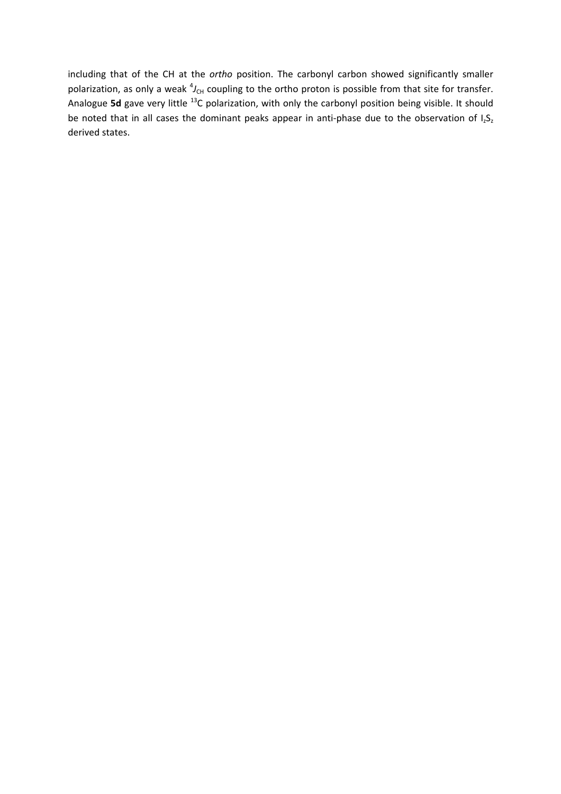including that of the CH at the *ortho* position. The carbonyl carbon showed significantly smaller polarization, as only a weak  ${}^4J_{\text{CH}}$  coupling to the ortho proton is possible from that site for transfer. Analogue 5d gave very little <sup>13</sup>C polarization, with only the carbonyl position being visible. It should be noted that in all cases the dominant peaks appear in anti-phase due to the observation of  $I_2S_2$ derived states.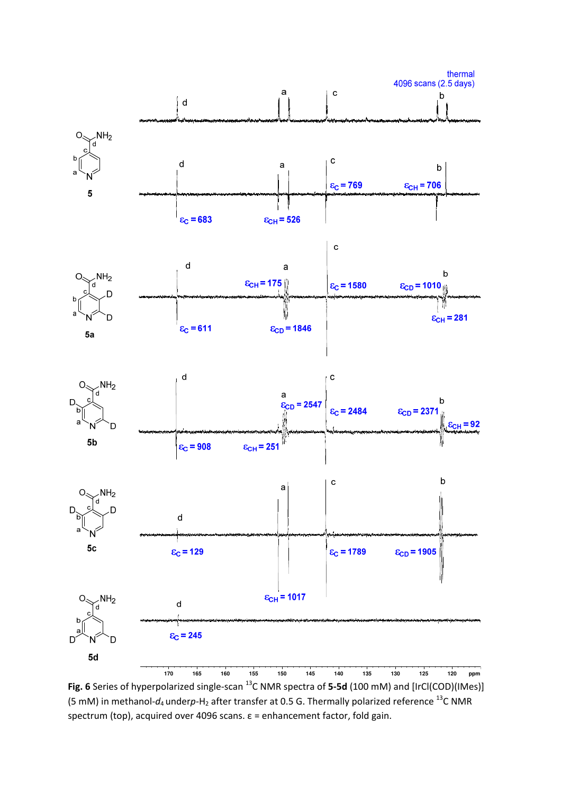

**Fig. 6** Series of hyperpolarized single-scan <sup>13</sup>C NMR spectra of **5-5d** (100 mM) and [IrCl(COD)(IMes)] (5 mM) in methanol- $d_4$  underp-H<sub>2</sub> after transfer at 0.5 G. Thermally polarized reference <sup>13</sup>C NMR spectrum (top), acquired over 4096 scans. ε = enhancement factor, fold gain.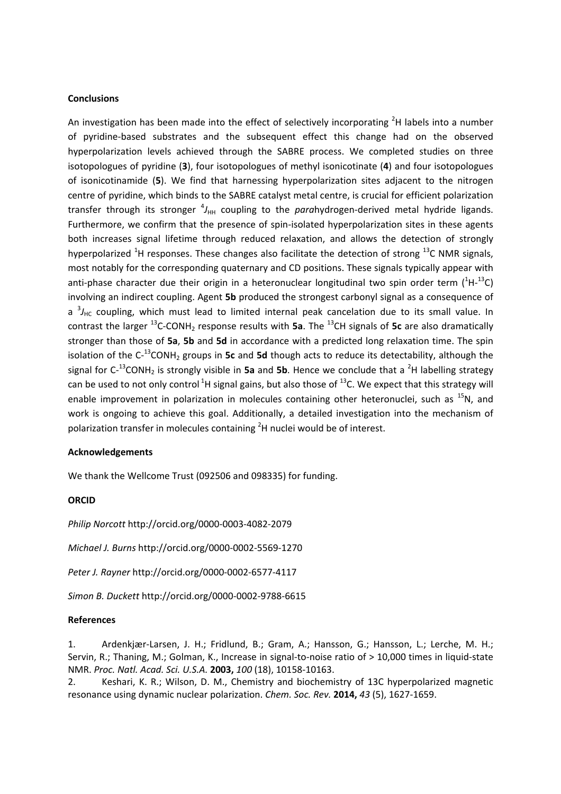### **Conclusions**

An investigation has been made into the effect of selectively incorporating  $2H$  labels into a number of pyridine-based substrates and the subsequent effect this change had on the observed hyperpolarization levels achieved through the SABRE process. We completed studies on three isotopologues of pyridine (**3**), four isotopologues of methyl isonicotinate (**4**) and four isotopologues of isonicotinamide (**5**). We find that harnessing hyperpolarization sites adjacent to the nitrogen centre of pyridine, which binds to the SABRE catalyst metal centre, is crucial for efficient polarization transfer through its stronger  ${}^4J_{\text{HH}}$  coupling to the *para*hydrogen-derived metal hydride ligands. Furthermore, we confirm that the presence of spin-isolated hyperpolarization sites in these agents both increases signal lifetime through reduced relaxation, and allows the detection of strongly hyperpolarized  ${}^{1}H$  responses. These changes also facilitate the detection of strong  ${}^{13}C$  NMR signals, most notably for the corresponding quaternary and CD positions. These signals typically appear with anti-phase character due their origin in a heteronuclear longitudinal two spin order term  $(^{1}H^{-13}C)$ involving an indirect coupling. Agent **5b** produced the strongest carbonyl signal as a consequence of a <sup>3</sup>/<sub>HC</sub> coupling, which must lead to limited internal peak cancelation due to its small value. In contrast the larger <sup>13</sup>C-CONH<sup>2</sup> response results with **5a**. The <sup>13</sup>CH signals of **5c** are also dramatically stronger than those of **5a**, **5b** and **5d** in accordance with a predicted long relaxation time. The spin isolation of the C<sup>-13</sup>CONH<sub>2</sub> groups in **5c** and **5d** though acts to reduce its detectability, although the signal for  $C^{-13}$ CONH<sub>2</sub> is strongly visible in **5a** and **5b**. Hence we conclude that a <sup>2</sup>H labelling strategy can be used to not only control<sup>1</sup>H signal gains, but also those of  $^{13}$ C. We expect that this strategy will enable improvement in polarization in molecules containing other heteronuclei, such as  $^{15}N$ , and work is ongoing to achieve this goal. Additionally, a detailed investigation into the mechanism of polarization transfer in molecules containing  $2H$  nuclei would be of interest.

### **Acknowledgements**

We thank the Wellcome Trust (092506 and 098335) for funding.

#### **ORCID**

*Philip Norcott* http://orcid.org/0000-0003-4082-2079

*Michael J. Burns* http://orcid.org/0000-0002-5569-1270

*Peter J. Rayner* http://orcid.org/0000-0002-6577-4117

*Simon B. Duckett* http://orcid.org/0000-0002-9788-6615

#### **References**

1. Ardenkjær-Larsen, J. H.; Fridlund, B.; Gram, A.; Hansson, G.; Hansson, L.; Lerche, M. H.; Servin, R.; Thaning, M.; Golman, K., Increase in signal-to-noise ratio of > 10,000 times in liquid-state NMR. *Proc. Natl. Acad. Sci. U.S.A.* **2003,** *100* (18), 10158-10163.

2. Keshari, K. R.; Wilson, D. M., Chemistry and biochemistry of 13C hyperpolarized magnetic resonance using dynamic nuclear polarization. *Chem. Soc. Rev.* **2014,** *43* (5), 1627-1659.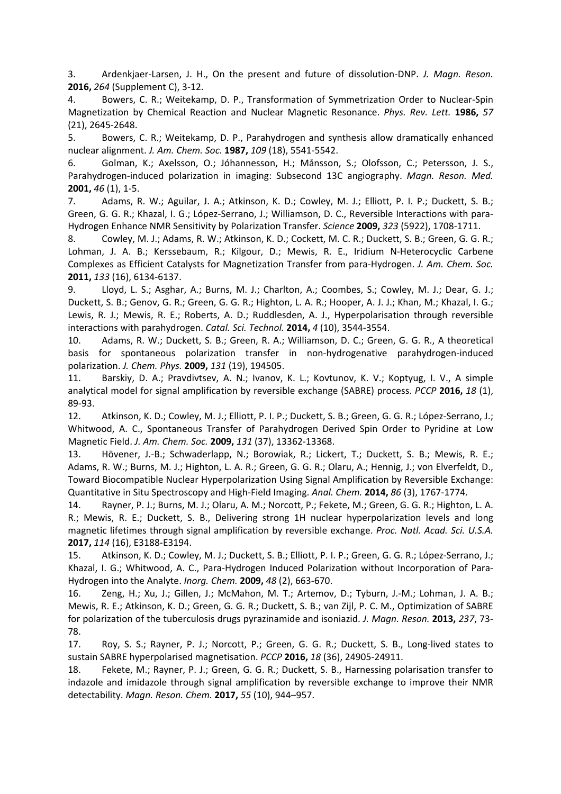3. Ardenkjaer-Larsen, J. H., On the present and future of dissolution-DNP. *J. Magn. Reson.* **2016,** *264* (Supplement C), 3-12.

4. Bowers, C. R.; Weitekamp, D. P., Transformation of Symmetrization Order to Nuclear-Spin Magnetization by Chemical Reaction and Nuclear Magnetic Resonance. *Phys. Rev. Lett.* **1986,** *57* (21), 2645-2648.

5. Bowers, C. R.; Weitekamp, D. P., Parahydrogen and synthesis allow dramatically enhanced nuclear alignment. *J. Am. Chem. Soc.* **1987,** *109* (18), 5541-5542.

6. Golman, K.; Axelsson, O.; Jóhannesson, H.; Månsson, S.; Olofsson, C.; Petersson, J. S., Parahydrogen-induced polarization in imaging: Subsecond 13C angiography. *Magn. Reson. Med.* **2001,** *46* (1), 1-5.

7. Adams, R. W.; Aguilar, J. A.; Atkinson, K. D.; Cowley, M. J.; Elliott, P. I. P.; Duckett, S. B.; Green, G. G. R.; Khazal, I. G.; López-Serrano, J.; Williamson, D. C., Reversible Interactions with para-Hydrogen Enhance NMR Sensitivity by Polarization Transfer. *Science* **2009,** *323* (5922), 1708-1711.

8. Cowley, M. J.; Adams, R. W.; Atkinson, K. D.; Cockett, M. C. R.; Duckett, S. B.; Green, G. G. R.; Lohman, J. A. B.; Kerssebaum, R.; Kilgour, D.; Mewis, R. E., Iridium N-Heterocyclic Carbene Complexes as Efficient Catalysts for Magnetization Transfer from para-Hydrogen. *J. Am. Chem. Soc.* **2011,** *133* (16), 6134-6137.

9. Lloyd, L. S.; Asghar, A.; Burns, M. J.; Charlton, A.; Coombes, S.; Cowley, M. J.; Dear, G. J.; Duckett, S. B.; Genov, G. R.; Green, G. G. R.; Highton, L. A. R.; Hooper, A. J. J.; Khan, M.; Khazal, I. G.; Lewis, R. J.; Mewis, R. E.; Roberts, A. D.; Ruddlesden, A. J., Hyperpolarisation through reversible interactions with parahydrogen. *Catal. Sci. Technol.* **2014,** *4* (10), 3544-3554.

10. Adams, R. W.; Duckett, S. B.; Green, R. A.; Williamson, D. C.; Green, G. G. R., A theoretical basis for spontaneous polarization transfer in non-hydrogenative parahydrogen-induced polarization. *J. Chem. Phys.* **2009,** *131* (19), 194505.

11. Barskiy, D. A.; Pravdivtsev, A. N.; Ivanov, K. L.; Kovtunov, K. V.; Koptyug, I. V., A simple analytical model for signal amplification by reversible exchange (SABRE) process. *PCCP* **2016,** *18* (1), 89-93.

12. Atkinson, K. D.; Cowley, M. J.; Elliott, P. I. P.; Duckett, S. B.; Green, G. G. R.; López-Serrano, J.; Whitwood, A. C., Spontaneous Transfer of Parahydrogen Derived Spin Order to Pyridine at Low Magnetic Field. *J. Am. Chem. Soc.* **2009,** *131* (37), 13362-13368.

13. Hövener, J.-B.; Schwaderlapp, N.; Borowiak, R.; Lickert, T.; Duckett, S. B.; Mewis, R. E.; Adams, R. W.; Burns, M. J.; Highton, L. A. R.; Green, G. G. R.; Olaru, A.; Hennig, J.; von Elverfeldt, D., Toward Biocompatible Nuclear Hyperpolarization Using Signal Amplification by Reversible Exchange: Quantitative in Situ Spectroscopy and High-Field Imaging. *Anal. Chem.* **2014,** *86* (3), 1767-1774.

14. Rayner, P. J.; Burns, M. J.; Olaru, A. M.; Norcott, P.; Fekete, M.; Green, G. G. R.; Highton, L. A. R.; Mewis, R. E.; Duckett, S. B., Delivering strong 1H nuclear hyperpolarization levels and long magnetic lifetimes through signal amplification by reversible exchange. *Proc. Natl. Acad. Sci. U.S.A.* **2017,** *114* (16), E3188-E3194.

15. Atkinson, K. D.; Cowley, M. J.; Duckett, S. B.; Elliott, P. I. P.; Green, G. G. R.; López-Serrano, J.; Khazal, I. G.; Whitwood, A. C., Para-Hydrogen Induced Polarization without Incorporation of Para-Hydrogen into the Analyte. *Inorg. Chem.* **2009,** *48* (2), 663-670.

16. Zeng, H.; Xu, J.; Gillen, J.; McMahon, M. T.; Artemov, D.; Tyburn, J.-M.; Lohman, J. A. B.; Mewis, R. E.; Atkinson, K. D.; Green, G. G. R.; Duckett, S. B.; van Zijl, P. C. M., Optimization of SABRE for polarization of the tuberculosis drugs pyrazinamide and isoniazid. *J. Magn. Reson.* **2013,** *237*, 73- 78.

17. Roy, S. S.; Rayner, P. J.; Norcott, P.; Green, G. G. R.; Duckett, S. B., Long-lived states to sustain SABRE hyperpolarised magnetisation. *PCCP* **2016,** *18* (36), 24905-24911.

18. Fekete, M.; Rayner, P. J.; Green, G. G. R.; Duckett, S. B., Harnessing polarisation transfer to indazole and imidazole through signal amplification by reversible exchange to improve their NMR detectability. *Magn. Reson. Chem.* **2017,** *55* (10), 944–957.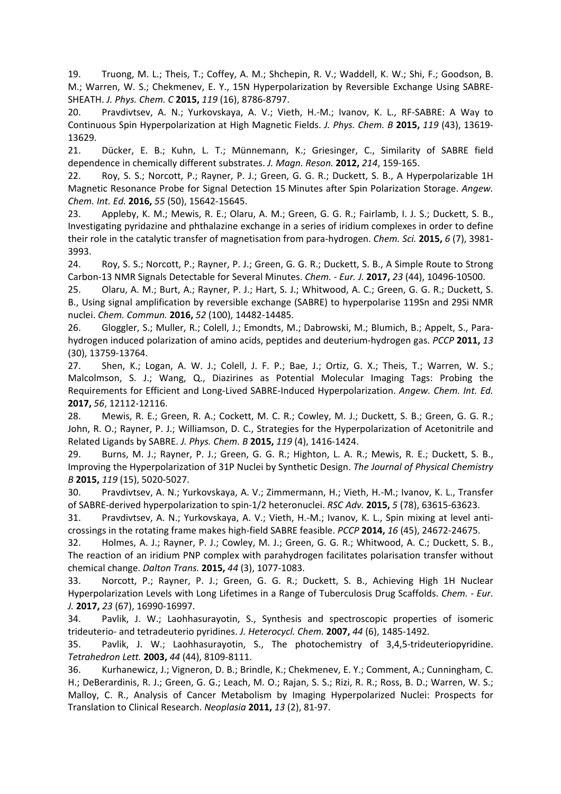19. Truong, M. L.; Theis, T.; Coffey, A. M.; Shchepin, R. V.; Waddell, K. W.; Shi, F.; Goodson, B. M.; Warren, W. S.; Chekmenev, E. Y., 15N Hyperpolarization by Reversible Exchange Using SABRE-SHEATH. *J. Phys. Chem. C* **2015,** *119* (16), 8786-8797.

20. Pravdivtsev, A. N.; Yurkovskaya, A. V.; Vieth, H.-M.; Ivanov, K. L., RF-SABRE: A Way to Continuous Spin Hyperpolarization at High Magnetic Fields. *J. Phys. Chem. B* **2015,** *119* (43), 13619- 13629.

21. Dücker, E. B.; Kuhn, L. T.; Münnemann, K.; Griesinger, C., Similarity of SABRE field dependence in chemically different substrates. *J. Magn. Reson.* **2012,** *214*, 159-165.

22. Roy, S. S.; Norcott, P.; Rayner, P. J.; Green, G. G. R.; Duckett, S. B., A Hyperpolarizable 1H Magnetic Resonance Probe for Signal Detection 15 Minutes after Spin Polarization Storage. *Angew. Chem. Int. Ed.* **2016,** *55* (50), 15642-15645.

23. Appleby, K. M.; Mewis, R. E.; Olaru, A. M.; Green, G. G. R.; Fairlamb, I. J. S.; Duckett, S. B., Investigating pyridazine and phthalazine exchange in a series of iridium complexes in order to define their role in the catalytic transfer of magnetisation from para-hydrogen. *Chem. Sci.* **2015,** *6* (7), 3981- 3993.

24. Roy, S. S.; Norcott, P.; Rayner, P. J.; Green, G. G. R.; Duckett, S. B., A Simple Route to Strong Carbon-13 NMR Signals Detectable for Several Minutes. *Chem. - Eur. J.* **2017,** *23* (44), 10496-10500.

25. Olaru, A. M.; Burt, A.; Rayner, P. J.; Hart, S. J.; Whitwood, A. C.; Green, G. G. R.; Duckett, S. B., Using signal amplification by reversible exchange (SABRE) to hyperpolarise 119Sn and 29Si NMR nuclei. *Chem. Commun.* **2016,** *52* (100), 14482-14485.

26. Gloggler, S.; Muller, R.; Colell, J.; Emondts, M.; Dabrowski, M.; Blumich, B.; Appelt, S., Parahydrogen induced polarization of amino acids, peptides and deuterium-hydrogen gas. *PCCP* **2011,** *13* (30), 13759-13764.

27. Shen, K.; Logan, A. W. J.; Colell, J. F. P.; Bae, J.; Ortiz, G. X.; Theis, T.; Warren, W. S.; Malcolmson, S. J.; Wang, Q., Diazirines as Potential Molecular Imaging Tags: Probing the Requirements for Efficient and Long-Lived SABRE-Induced Hyperpolarization. *Angew. Chem. Int. Ed.* **2017,** *56*, 12112-12116.

28. Mewis, R. E.; Green, R. A.; Cockett, M. C. R.; Cowley, M. J.; Duckett, S. B.; Green, G. G. R.; John, R. O.; Rayner, P. J.; Williamson, D. C., Strategies for the Hyperpolarization of Acetonitrile and Related Ligands by SABRE. *J. Phys. Chem. B* **2015,** *119* (4), 1416-1424.

29. Burns, M. J.; Rayner, P. J.; Green, G. G. R.; Highton, L. A. R.; Mewis, R. E.; Duckett, S. B., Improving the Hyperpolarization of 31P Nuclei by Synthetic Design. *The Journal of Physical Chemistry B* **2015,** *119* (15), 5020-5027.

30. Pravdivtsev, A. N.; Yurkovskaya, A. V.; Zimmermann, H.; Vieth, H.-M.; Ivanov, K. L., Transfer of SABRE-derived hyperpolarization to spin-1/2 heteronuclei. *RSC Adv.* **2015,** *5* (78), 63615-63623.

31. Pravdivtsev, A. N.; Yurkovskaya, A. V.; Vieth, H.-M.; Ivanov, K. L., Spin mixing at level anticrossings in the rotating frame makes high-field SABRE feasible. *PCCP* **2014,** *16* (45), 24672-24675.

32. Holmes, A. J.; Rayner, P. J.; Cowley, M. J.; Green, G. G. R.; Whitwood, A. C.; Duckett, S. B., The reaction of an iridium PNP complex with parahydrogen facilitates polarisation transfer without chemical change. *Dalton Trans.* **2015,** *44* (3), 1077-1083.

33. Norcott, P.; Rayner, P. J.; Green, G. G. R.; Duckett, S. B., Achieving High 1H Nuclear Hyperpolarization Levels with Long Lifetimes in a Range of Tuberculosis Drug Scaffolds. *Chem. - Eur. J.* **2017,** *23* (67), 16990-16997.

34. Pavlik, J. W.; Laohhasurayotin, S., Synthesis and spectroscopic properties of isomeric trideuterio- and tetradeuterio pyridines. *J. Heterocycl. Chem.* **2007,** *44* (6), 1485-1492.

35. Pavlik, J. W.; Laohhasurayotin, S., The photochemistry of 3,4,5-trideuteriopyridine. *Tetrahedron Lett.* **2003,** *44* (44), 8109-8111.

36. Kurhanewicz, J.; Vigneron, D. B.; Brindle, K.; Chekmenev, E. Y.; Comment, A.; Cunningham, C. H.; DeBerardinis, R. J.; Green, G. G.; Leach, M. O.; Rajan, S. S.; Rizi, R. R.; Ross, B. D.; Warren, W. S.; Malloy, C. R., Analysis of Cancer Metabolism by Imaging Hyperpolarized Nuclei: Prospects for Translation to Clinical Research. *Neoplasia* **2011,** *13* (2), 81-97.